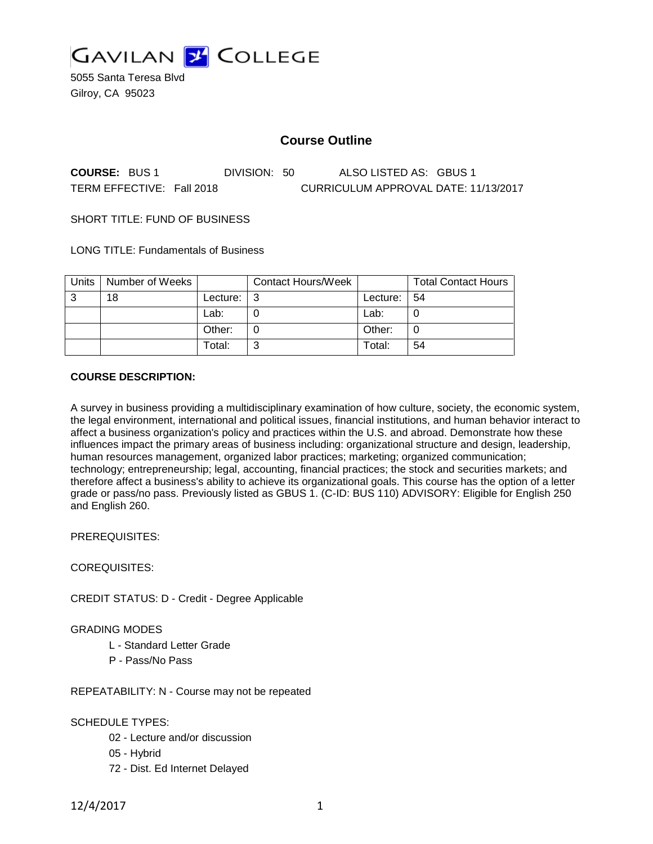

5055 Santa Teresa Blvd Gilroy, CA 95023

# **Course Outline**

**COURSE:** BUS 1 DIVISION: 50 ALSO LISTED AS: GBUS 1 TERM EFFECTIVE: Fall 2018 CURRICULUM APPROVAL DATE: 11/13/2017

SHORT TITLE: FUND OF BUSINESS

LONG TITLE: Fundamentals of Business

| Units | Number of Weeks |          | <b>Contact Hours/Week</b> |          | <b>Total Contact Hours</b> |
|-------|-----------------|----------|---------------------------|----------|----------------------------|
| 3     | 18              | Lecture: | - 2                       | Lecture: | -54                        |
|       |                 | Lab:     |                           | Lab:     |                            |
|       |                 | Other:   |                           | Other:   |                            |
|       |                 | Total:   |                           | Total:   | 54                         |

#### **COURSE DESCRIPTION:**

A survey in business providing a multidisciplinary examination of how culture, society, the economic system, the legal environment, international and political issues, financial institutions, and human behavior interact to affect a business organization's policy and practices within the U.S. and abroad. Demonstrate how these influences impact the primary areas of business including: organizational structure and design, leadership, human resources management, organized labor practices; marketing; organized communication; technology; entrepreneurship; legal, accounting, financial practices; the stock and securities markets; and therefore affect a business's ability to achieve its organizational goals. This course has the option of a letter grade or pass/no pass. Previously listed as GBUS 1. (C-ID: BUS 110) ADVISORY: Eligible for English 250 and English 260.

PREREQUISITES:

COREQUISITES:

CREDIT STATUS: D - Credit - Degree Applicable

GRADING MODES

- L Standard Letter Grade
- P Pass/No Pass

REPEATABILITY: N - Course may not be repeated

SCHEDULE TYPES:

- 02 Lecture and/or discussion
- 05 Hybrid
- 72 Dist. Ed Internet Delayed

12/4/2017 1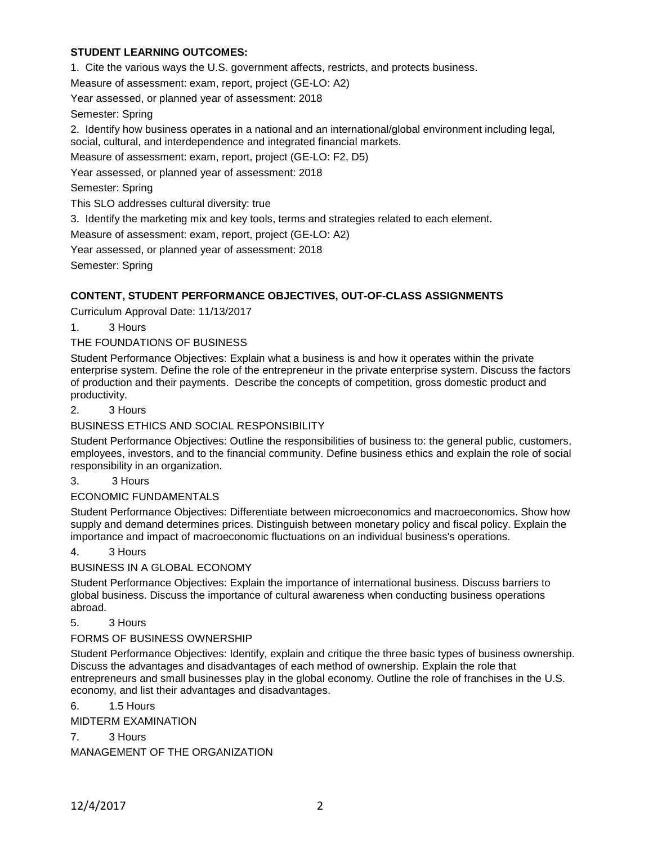### **STUDENT LEARNING OUTCOMES:**

1. Cite the various ways the U.S. government affects, restricts, and protects business.

Measure of assessment: exam, report, project (GE-LO: A2)

Year assessed, or planned year of assessment: 2018

Semester: Spring

2. Identify how business operates in a national and an international/global environment including legal, social, cultural, and interdependence and integrated financial markets.

Measure of assessment: exam, report, project (GE-LO: F2, D5)

Year assessed, or planned year of assessment: 2018

Semester: Spring

This SLO addresses cultural diversity: true

3. Identify the marketing mix and key tools, terms and strategies related to each element.

Measure of assessment: exam, report, project (GE-LO: A2)

Year assessed, or planned year of assessment: 2018

Semester: Spring

### **CONTENT, STUDENT PERFORMANCE OBJECTIVES, OUT-OF-CLASS ASSIGNMENTS**

Curriculum Approval Date: 11/13/2017

1. 3 Hours

### THE FOUNDATIONS OF BUSINESS

Student Performance Objectives: Explain what a business is and how it operates within the private enterprise system. Define the role of the entrepreneur in the private enterprise system. Discuss the factors of production and their payments. Describe the concepts of competition, gross domestic product and productivity.

### 2. 3 Hours

BUSINESS ETHICS AND SOCIAL RESPONSIBILITY

Student Performance Objectives: Outline the responsibilities of business to: the general public, customers, employees, investors, and to the financial community. Define business ethics and explain the role of social responsibility in an organization.

3. 3 Hours

ECONOMIC FUNDAMENTALS

Student Performance Objectives: Differentiate between microeconomics and macroeconomics. Show how supply and demand determines prices. Distinguish between monetary policy and fiscal policy. Explain the importance and impact of macroeconomic fluctuations on an individual business's operations.

### 4. 3 Hours

BUSINESS IN A GLOBAL ECONOMY

Student Performance Objectives: Explain the importance of international business. Discuss barriers to global business. Discuss the importance of cultural awareness when conducting business operations abroad.

5. 3 Hours

### FORMS OF BUSINESS OWNERSHIP

Student Performance Objectives: Identify, explain and critique the three basic types of business ownership. Discuss the advantages and disadvantages of each method of ownership. Explain the role that entrepreneurs and small businesses play in the global economy. Outline the role of franchises in the U.S. economy, and list their advantages and disadvantages.

6. 1.5 Hours

MIDTERM EXAMINATION

7. 3 Hours

MANAGEMENT OF THE ORGANIZATION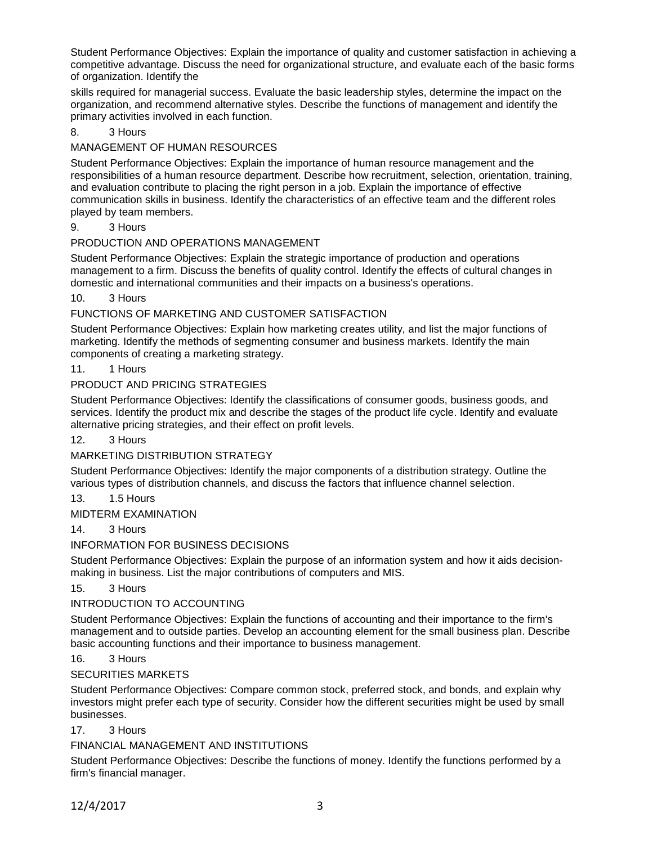Student Performance Objectives: Explain the importance of quality and customer satisfaction in achieving a competitive advantage. Discuss the need for organizational structure, and evaluate each of the basic forms of organization. Identify the

skills required for managerial success. Evaluate the basic leadership styles, determine the impact on the organization, and recommend alternative styles. Describe the functions of management and identify the primary activities involved in each function.

# 8. 3 Hours

# MANAGEMENT OF HUMAN RESOURCES

Student Performance Objectives: Explain the importance of human resource management and the responsibilities of a human resource department. Describe how recruitment, selection, orientation, training, and evaluation contribute to placing the right person in a job. Explain the importance of effective communication skills in business. Identify the characteristics of an effective team and the different roles played by team members.

### 9. 3 Hours

# PRODUCTION AND OPERATIONS MANAGEMENT

Student Performance Objectives: Explain the strategic importance of production and operations management to a firm. Discuss the benefits of quality control. Identify the effects of cultural changes in domestic and international communities and their impacts on a business's operations.

10. 3 Hours

# FUNCTIONS OF MARKETING AND CUSTOMER SATISFACTION

Student Performance Objectives: Explain how marketing creates utility, and list the major functions of marketing. Identify the methods of segmenting consumer and business markets. Identify the main components of creating a marketing strategy.

### 11. 1 Hours

### PRODUCT AND PRICING STRATEGIES

Student Performance Objectives: Identify the classifications of consumer goods, business goods, and services. Identify the product mix and describe the stages of the product life cycle. Identify and evaluate alternative pricing strategies, and their effect on profit levels.

### 12. 3 Hours

# MARKETING DISTRIBUTION STRATEGY

Student Performance Objectives: Identify the major components of a distribution strategy. Outline the various types of distribution channels, and discuss the factors that influence channel selection.

13. 1.5 Hours

MIDTERM EXAMINATION

### 14. 3 Hours

# INFORMATION FOR BUSINESS DECISIONS

Student Performance Objectives: Explain the purpose of an information system and how it aids decisionmaking in business. List the major contributions of computers and MIS.

### 15. 3 Hours

# INTRODUCTION TO ACCOUNTING

Student Performance Objectives: Explain the functions of accounting and their importance to the firm's management and to outside parties. Develop an accounting element for the small business plan. Describe basic accounting functions and their importance to business management.

### 16. 3 Hours

### SECURITIES MARKETS

Student Performance Objectives: Compare common stock, preferred stock, and bonds, and explain why investors might prefer each type of security. Consider how the different securities might be used by small businesses.

### 17. 3 Hours

# FINANCIAL MANAGEMENT AND INSTITUTIONS

Student Performance Objectives: Describe the functions of money. Identify the functions performed by a firm's financial manager.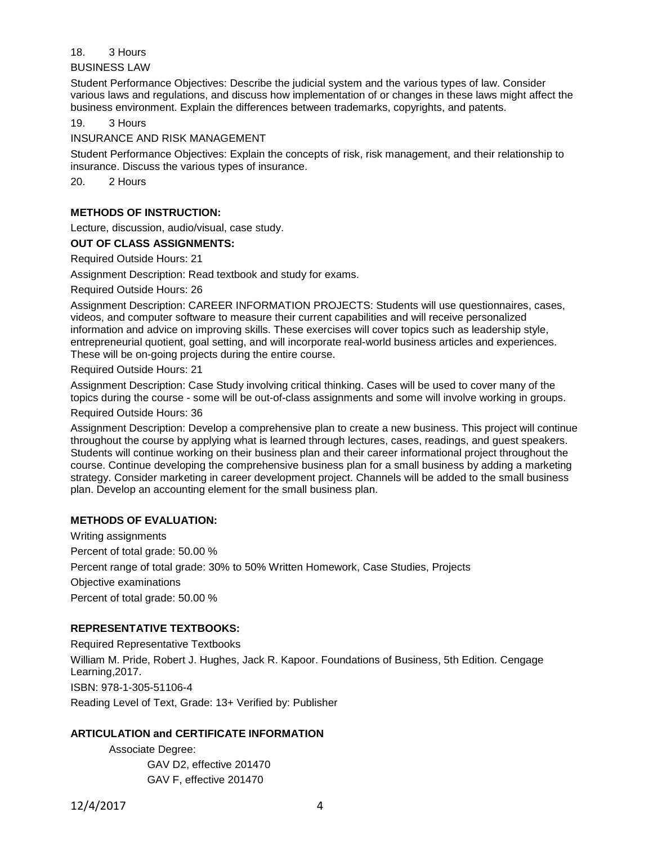#### 18. 3 Hours

BUSINESS LAW

Student Performance Objectives: Describe the judicial system and the various types of law. Consider various laws and regulations, and discuss how implementation of or changes in these laws might affect the business environment. Explain the differences between trademarks, copyrights, and patents.

19. 3 Hours

INSURANCE AND RISK MANAGEMENT

Student Performance Objectives: Explain the concepts of risk, risk management, and their relationship to insurance. Discuss the various types of insurance.

20. 2 Hours

### **METHODS OF INSTRUCTION:**

Lecture, discussion, audio/visual, case study.

**OUT OF CLASS ASSIGNMENTS:**

Required Outside Hours: 21

Assignment Description: Read textbook and study for exams.

Required Outside Hours: 26

Assignment Description: CAREER INFORMATION PROJECTS: Students will use questionnaires, cases, videos, and computer software to measure their current capabilities and will receive personalized information and advice on improving skills. These exercises will cover topics such as leadership style, entrepreneurial quotient, goal setting, and will incorporate real-world business articles and experiences. These will be on-going projects during the entire course.

Required Outside Hours: 21

Assignment Description: Case Study involving critical thinking. Cases will be used to cover many of the topics during the course - some will be out-of-class assignments and some will involve working in groups.

Required Outside Hours: 36

Assignment Description: Develop a comprehensive plan to create a new business. This project will continue throughout the course by applying what is learned through lectures, cases, readings, and guest speakers. Students will continue working on their business plan and their career informational project throughout the course. Continue developing the comprehensive business plan for a small business by adding a marketing strategy. Consider marketing in career development project. Channels will be added to the small business plan. Develop an accounting element for the small business plan.

### **METHODS OF EVALUATION:**

Writing assignments Percent of total grade: 50.00 % Percent range of total grade: 30% to 50% Written Homework, Case Studies, Projects Objective examinations Percent of total grade: 50.00 %

### **REPRESENTATIVE TEXTBOOKS:**

Required Representative Textbooks William M. Pride, Robert J. Hughes, Jack R. Kapoor. Foundations of Business, 5th Edition. Cengage Learning,2017. ISBN: 978-1-305-51106-4 Reading Level of Text, Grade: 13+ Verified by: Publisher

### **ARTICULATION and CERTIFICATE INFORMATION**

Associate Degree: GAV D2, effective 201470 GAV F, effective 201470